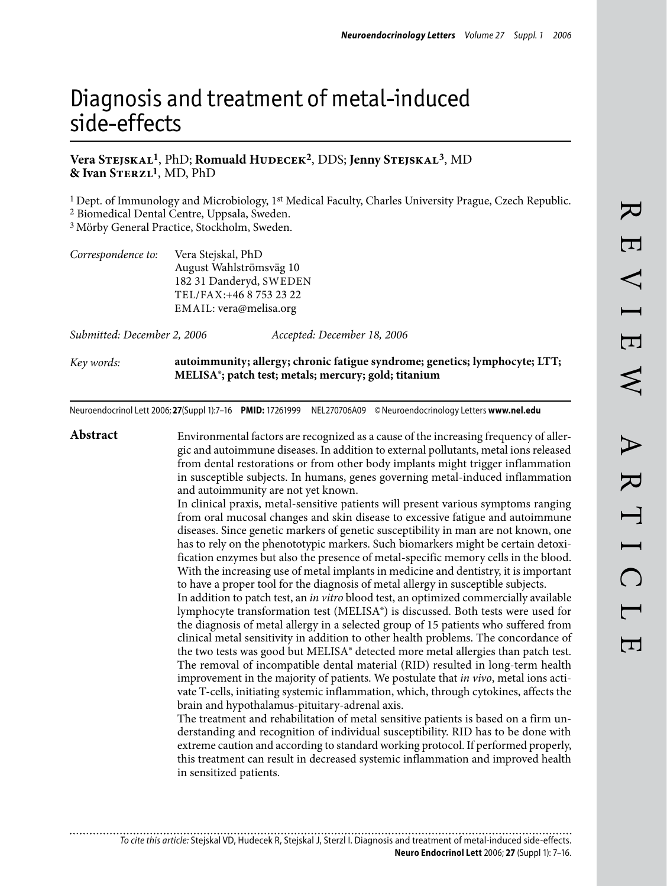# Diagnosis and treatment of metal-induced side-effects

## **Vera Stejskal1**, PhD; **Romuald Hudecek2**, DDS; **Jenny Stejskal3**, MD **& Ivan Sterzl1**, MD, PhD

1 Dept. of Immunology and Microbiology, 1st Medical Faculty, Charles University Prague, Czech Republic.

2 Biomedical Dental Centre, Uppsala, Sweden.

3 Mörby General Practice, Stockholm, Sweden.

| Correspondence to: | Vera Stejskal, PhD      |  |  |
|--------------------|-------------------------|--|--|
|                    | August Wahlströmsväg 10 |  |  |
|                    | 182 31 Danderyd, SWEDEN |  |  |
|                    | TEL/FAX:+46 8 753 23 22 |  |  |
|                    | EMAIL: vera@melisa.org  |  |  |
|                    |                         |  |  |

*Submitted: December 2, 2006 Accepted: December 18, 2006*

*Key words:* **autoimmunity; allergy; chronic fatigue syndrome; genetics; lymphocyte; LTT; MELISA®; patch test; metals; mercury; gold; titanium**

Neuroendocrinol Lett 2006; **27**(Suppl 1):–16 **PMID:** 17261999 NEL270706A09 ©Neuroendocrinology Letters **www.nel.edu**

**Abstract** Environmental factors are recognized as a cause of the increasing frequency of allergic and autoimmune diseases. In addition to external pollutants, metal ions released from dental restorations or from other body implants might trigger inflammation in susceptible subjects. In humans, genes governing metal-induced inflammation and autoimmunity are not yet known. In clinical praxis, metal-sensitive patients will present various symptoms ranging from oral mucosal changes and skin disease to excessive fatigue and autoimmune diseases. Since genetic markers of genetic susceptibility in man are not known, one has to rely on the phenototypic markers. Such biomarkers might be certain detoxification enzymes but also the presence of metal-specific memory cells in the blood. With the increasing use of metal implants in medicine and dentistry, it is important to have a proper tool for the diagnosis of metal allergy in susceptible subjects. In addition to patch test, an *in vitro* blood test, an optimized commercially available lymphocyte transformation test (MELISA®) is discussed. Both tests were used for the diagnosis of metal allergy in a selected group of 15 patients who suffered from clinical metal sensitivity in addition to other health problems. The concordance of the two tests was good but MELISA® detected more metal allergies than patch test. The removal of incompatible dental material (RID) resulted in long-term health improvement in the majority of patients. We postulate that *in vivo*, metal ions activate T-cells, initiating systemic inflammation, which, through cytokines, affects the brain and hypothalamus-pituitary-adrenal axis. The treatment and rehabilitation of metal sensitive patients is based on a firm understanding and recognition of individual susceptibility. RID has to be done with extreme caution and according to standard working protocol. If performed properly, this treatment can result in decreased systemic inflammation and improved health in sensitized patients.

*To cite this article:* Stejskal VD, Hudecek R, Stejskal J, Sterzl I. Diagnosis and treatment of metal-induced side-effects. **Neuro Endocrinol Lett** 2006; **27** (Suppl 1): –16.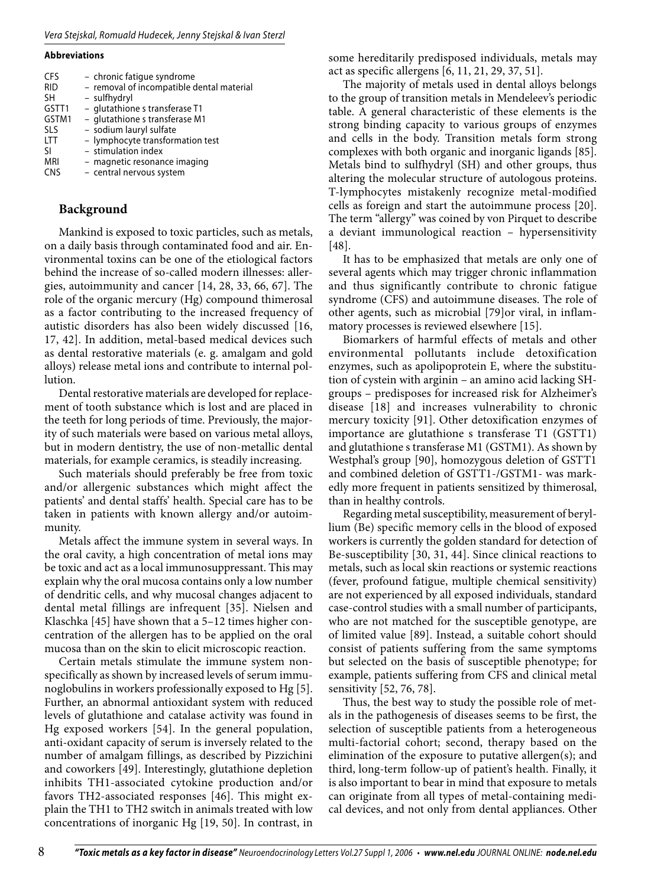#### **Abbreviations**

| <b>CFS</b> | - chronic fatique syndrome                |
|------------|-------------------------------------------|
| <b>RID</b> | - removal of incompatible dental material |
| <b>SH</b>  | - sulfhydryl                              |
| GSTT1      | - glutathione s transferase T1            |
| GSTM1      | - glutathione s transferase M1            |
| <b>SLS</b> | - sodium lauryl sulfate                   |
| <b>LTT</b> | - lymphocyte transformation test          |
| SI.        | - stimulation index                       |
| <b>MRI</b> | - magnetic resonance imaging              |
| <b>CNS</b> | - central nervous system                  |

# **Background**

Mankind is exposed to toxic particles, such as metals, on a daily basis through contaminated food and air. Environmental toxins can be one of the etiological factors behind the increase of so-called modern illnesses: allergies, autoimmunity and cancer [14, 28, 33, 66, 67]. The role of the organic mercury (Hg) compound thimerosal as a factor contributing to the increased frequency of autistic disorders has also been widely discussed [16, 17, 42]. In addition, metal-based medical devices such as dental restorative materials (e. g. amalgam and gold alloys) release metal ions and contribute to internal pollution.

Dental restorative materials are developed for replacement of tooth substance which is lost and are placed in the teeth for long periods of time. Previously, the majority of such materials were based on various metal alloys, but in modern dentistry, the use of non-metallic dental materials, for example ceramics, is steadily increasing.

Such materials should preferably be free from toxic and/or allergenic substances which might affect the patients' and dental staffs' health. Special care has to be taken in patients with known allergy and/or autoimmunity.

Metals affect the immune system in several ways. In the oral cavity, a high concentration of metal ions may be toxic and act as a local immunosuppressant. This may explain why the oral mucosa contains only a low number of dendritic cells, and why mucosal changes adjacent to dental metal fillings are infrequent [35]. Nielsen and Klaschka [45] have shown that a 5–12 times higher concentration of the allergen has to be applied on the oral mucosa than on the skin to elicit microscopic reaction.

Certain metals stimulate the immune system nonspecifically as shown by increased levels of serum immunoglobulins in workers professionally exposed to Hg [5]. Further, an abnormal antioxidant system with reduced levels of glutathione and catalase activity was found in Hg exposed workers [54]. In the general population, anti-oxidant capacity of serum is inversely related to the number of amalgam fillings, as described by Pizzichini and coworkers [49]. Interestingly, glutathione depletion inhibits TH1-associated cytokine production and/or favors TH2-associated responses [46]. This might explain the TH1 to TH2 switch in animals treated with low concentrations of inorganic Hg [19, 50]. In contrast, in

some hereditarily predisposed individuals, metals may act as specific allergens [6, 11, 21, 29, 37, 51].

The majority of metals used in dental alloys belongs to the group of transition metals in Mendeleev's periodic table. A general characteristic of these elements is the strong binding capacity to various groups of enzymes and cells in the body. Transition metals form strong complexes with both organic and inorganic ligands [85]. Metals bind to sulfhydryl (SH) and other groups, thus altering the molecular structure of autologous proteins. T-lymphocytes mistakenly recognize metal-modified cells as foreign and start the autoimmune process [20]. The term "allergy" was coined by von Pirquet to describe a deviant immunological reaction – hypersensitivity [48].

It has to be emphasized that metals are only one of several agents which may trigger chronic inflammation and thus significantly contribute to chronic fatigue syndrome (CFS) and autoimmune diseases. The role of other agents, such as microbial [79]or viral, in inflammatory processes is reviewed elsewhere [15].

Biomarkers of harmful effects of metals and other environmental pollutants include detoxification enzymes, such as apolipoprotein E, where the substitution of cystein with arginin – an amino acid lacking SHgroups – predisposes for increased risk for Alzheimer's disease [18] and increases vulnerability to chronic mercury toxicity [91]. Other detoxification enzymes of importance are glutathione s transferase T1 (GSTT1) and glutathione s transferase M1 (GSTM1). As shown by Westphal's group [90], homozygous deletion of GSTT1 and combined deletion of GSTT1-/GSTM1- was markedly more frequent in patients sensitized by thimerosal, than in healthy controls.

Regarding metal susceptibility, measurement of beryllium (Be) specific memory cells in the blood of exposed workers is currently the golden standard for detection of Be-susceptibility [30, 31, 44]. Since clinical reactions to metals, such as local skin reactions or systemic reactions (fever, profound fatigue, multiple chemical sensitivity) are not experienced by all exposed individuals, standard case-control studies with a small number of participants, who are not matched for the susceptible genotype, are of limited value [89]. Instead, a suitable cohort should consist of patients suffering from the same symptoms but selected on the basis of susceptible phenotype; for example, patients suffering from CFS and clinical metal sensitivity [52, 76, 78].

Thus, the best way to study the possible role of metals in the pathogenesis of diseases seems to be first, the selection of susceptible patients from a heterogeneous multi-factorial cohort; second, therapy based on the elimination of the exposure to putative allergen(s); and third, long-term follow-up of patient's health. Finally, it is also important to bear in mind that exposure to metals can originate from all types of metal-containing medical devices, and not only from dental appliances. Other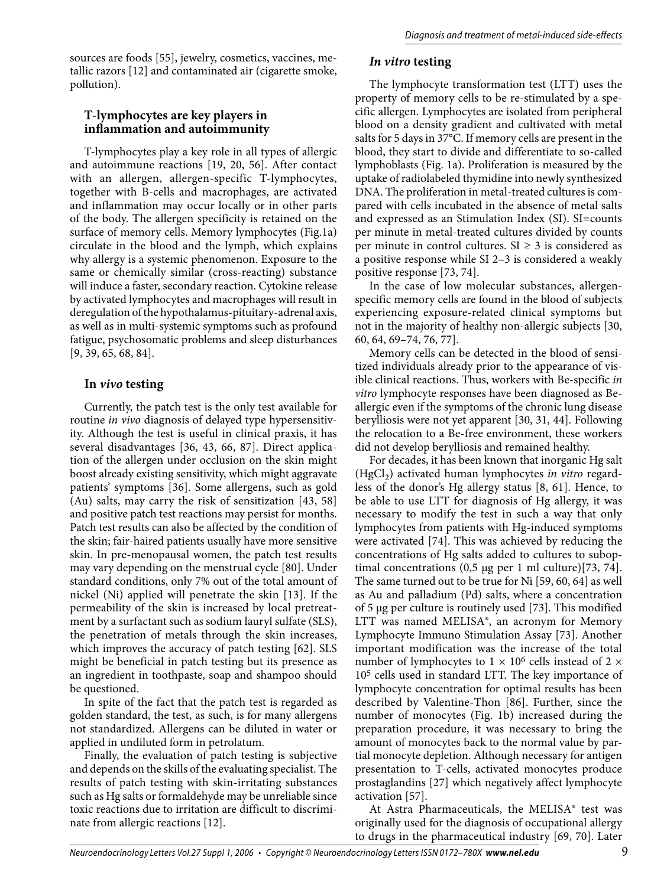sources are foods [55], jewelry, cosmetics, vaccines, metallic razors [12] and contaminated air (cigarette smoke, pollution).

## **T-lymphocytes are key players in inflammation and autoimmunity**

T-lymphocytes play a key role in all types of allergic and autoimmune reactions [19, 20, 56]. After contact with an allergen, allergen-specific T-lymphocytes, together with B-cells and macrophages, are activated and inflammation may occur locally or in other parts of the body. The allergen specificity is retained on the surface of memory cells. Memory lymphocytes (Fig.1a) circulate in the blood and the lymph, which explains why allergy is a systemic phenomenon. Exposure to the same or chemically similar (cross-reacting) substance will induce a faster, secondary reaction. Cytokine release by activated lymphocytes and macrophages will result in deregulation of the hypothalamus-pituitary-adrenal axis, as well as in multi-systemic symptoms such as profound fatigue, psychosomatic problems and sleep disturbances [9, 39, 65, 68, 84].

### **In** *vivo* **testing**

Currently, the patch test is the only test available for routine *in vivo* diagnosis of delayed type hypersensitivity. Although the test is useful in clinical praxis, it has several disadvantages [36, 43, 66, 87]. Direct application of the allergen under occlusion on the skin might boost already existing sensitivity, which might aggravate patients' symptoms [36]. Some allergens, such as gold (Au) salts, may carry the risk of sensitization [43, 58] and positive patch test reactions may persist for months. Patch test results can also be affected by the condition of the skin; fair-haired patients usually have more sensitive skin. In pre-menopausal women, the patch test results may vary depending on the menstrual cycle [80]. Under standard conditions, only 7% out of the total amount of nickel (Ni) applied will penetrate the skin [13]. If the permeability of the skin is increased by local pretreatment by a surfactant such as sodium lauryl sulfate (SLS), the penetration of metals through the skin increases, which improves the accuracy of patch testing [62]. SLS might be beneficial in patch testing but its presence as an ingredient in toothpaste, soap and shampoo should be questioned.

In spite of the fact that the patch test is regarded as golden standard, the test, as such, is for many allergens not standardized. Allergens can be diluted in water or applied in undiluted form in petrolatum.

Finally, the evaluation of patch testing is subjective and depends on the skills of the evaluating specialist. The results of patch testing with skin-irritating substances such as Hg salts or formaldehyde may be unreliable since toxic reactions due to irritation are difficult to discriminate from allergic reactions [12].

# *In vitro* **testing**

The lymphocyte transformation test (LTT) uses the property of memory cells to be re-stimulated by a specific allergen. Lymphocytes are isolated from peripheral blood on a density gradient and cultivated with metal salts for 5 days in 37°C. If memory cells are present in the blood, they start to divide and differentiate to so-called lymphoblasts (Fig. 1a). Proliferation is measured by the uptake of radiolabeled thymidine into newly synthesized DNA. The proliferation in metal-treated cultures is compared with cells incubated in the absence of metal salts and expressed as an Stimulation Index (SI). SI=counts per minute in metal-treated cultures divided by counts per minute in control cultures.  $SI \geq 3$  is considered as a positive response while SI 2–3 is considered a weakly positive response [73, 74].

In the case of low molecular substances, allergenspecific memory cells are found in the blood of subjects experiencing exposure-related clinical symptoms but not in the majority of healthy non-allergic subjects [30, 60, 64, 69–74, 76, 77].

Memory cells can be detected in the blood of sensitized individuals already prior to the appearance of visible clinical reactions. Thus, workers with Be-specific *in vitro* lymphocyte responses have been diagnosed as Beallergic even if the symptoms of the chronic lung disease berylliosis were not yet apparent [30, 31, 44]. Following the relocation to a Be-free environment, these workers did not develop berylliosis and remained healthy.

For decades, it has been known that inorganic Hg salt (HgCl<sub>2</sub>) activated human lymphocytes *in vitro* regardless of the donor's Hg allergy status [8, 61]. Hence, to be able to use LTT for diagnosis of Hg allergy, it was necessary to modify the test in such a way that only lymphocytes from patients with Hg-induced symptoms were activated [74]. This was achieved by reducing the concentrations of Hg salts added to cultures to suboptimal concentrations  $(0.5 \mu g$  per 1 ml culture)[73, 74]. The same turned out to be true for Ni [59, 60, 64] as well as Au and palladium (Pd) salts, where a concentration of 5 µg per culture is routinely used [73]. This modified LTT was named MELISA®, an acronym for Memory Lymphocyte Immuno Stimulation Assay [73]. Another important modification was the increase of the total number of lymphocytes to  $1 \times 10^6$  cells instead of 2  $\times$ 105 cells used in standard LTT. The key importance of lymphocyte concentration for optimal results has been described by Valentine-Thon [86]. Further, since the number of monocytes (Fig. 1b) increased during the preparation procedure, it was necessary to bring the amount of monocytes back to the normal value by partial monocyte depletion. Although necessary for antigen presentation to T-cells, activated monocytes produce prostaglandins [27] which negatively affect lymphocyte activation [57].

At Astra Pharmaceuticals, the MELISA® test was originally used for the diagnosis of occupational allergy to drugs in the pharmaceutical industry [69, 70]. Later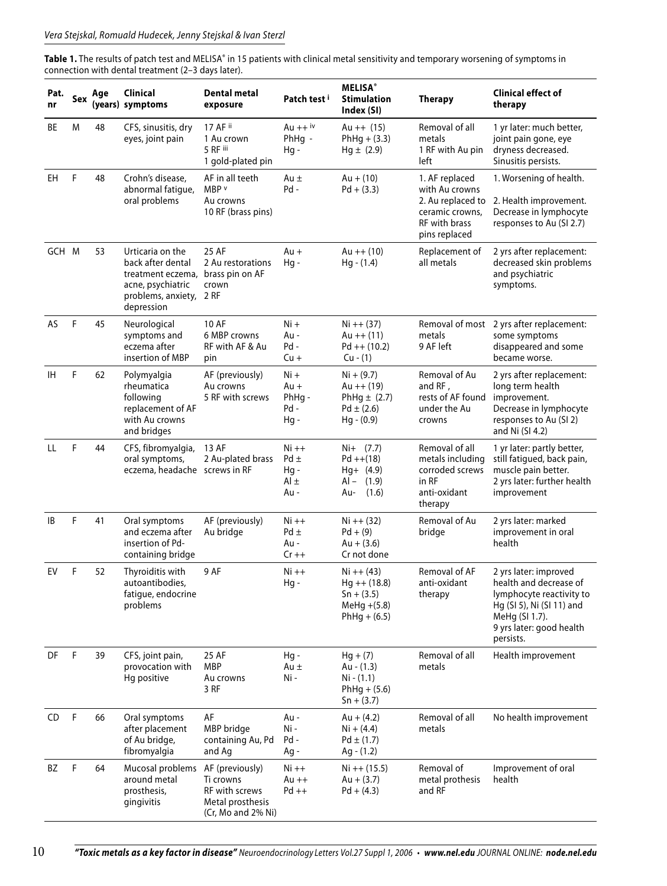Table 1. The results of patch test and MELISA<sup>®</sup> in 15 patients with clinical metal sensitivity and temporary worsening of symptoms in connection with dental treatment (2–3 days later).

| Pat.<br>nr | Sex | Age | <b>Clinical</b><br>(years) symptoms                                                                                 | <b>Dental metal</b><br>exposure                                                          | Patch test i                                | <b>MELISA®</b><br><b>Stimulation</b><br>Index (SI)                                 | <b>Therapy</b>                                                                                             | <b>Clinical effect of</b><br>therapy                                                                                                                                |
|------------|-----|-----|---------------------------------------------------------------------------------------------------------------------|------------------------------------------------------------------------------------------|---------------------------------------------|------------------------------------------------------------------------------------|------------------------------------------------------------------------------------------------------------|---------------------------------------------------------------------------------------------------------------------------------------------------------------------|
| ВE         | M   | 48  | CFS, sinusitis, dry<br>eyes, joint pain                                                                             | 17 AF ii<br>1 Au crown<br>5 RF iii<br>1 gold-plated pin                                  | Au $++$ <sup>iv</sup><br>$PhHq -$<br>Hg -   | Au $++(15)$<br>$PhHg + (3.3)$<br>$Hg \pm (2.9)$                                    | Removal of all<br>metals<br>1 RF with Au pin<br>left                                                       | 1 yr later: much better,<br>joint pain gone, eye<br>dryness decreased.<br>Sinusitis persists.                                                                       |
| EH         | F   | 48  | Crohn's disease,<br>abnormal fatigue,<br>oral problems                                                              | AF in all teeth<br>MBP v<br>Au crowns<br>10 RF (brass pins)                              | Au $\pm$<br>Pd -                            | $Au + (10)$<br>$Pd + (3.3)$                                                        | 1. AF replaced<br>with Au crowns<br>2. Au replaced to<br>ceramic crowns,<br>RF with brass<br>pins replaced | 1. Worsening of health.<br>2. Health improvement.<br>Decrease in lymphocyte<br>responses to Au (SI 2.7)                                                             |
| GCH M      |     | 53  | Urticaria on the<br>back after dental<br>treatment eczema,<br>acne, psychiatric<br>problems, anxiety,<br>depression | 25 AF<br>2 Au restorations<br>brass pin on AF<br>crown<br>2 RF                           | Au +<br>Hg -                                | Au $++(10)$<br>$Hg - (1.4)$                                                        | Replacement of<br>all metals                                                                               | 2 yrs after replacement:<br>decreased skin problems<br>and psychiatric<br>symptoms.                                                                                 |
| <b>AS</b>  | F   | 45  | Neurological<br>symptoms and<br>eczema after<br>insertion of MBP                                                    | 10 AF<br>6 MBP crowns<br>RF with AF & Au<br>pin                                          | $Ni +$<br>Au -<br>Pd-<br>$Cu +$             | $Ni + + (37)$<br>Au $++(11)$<br>$Pd + (10.2)$<br>$Cu - (1)$                        | Removal of most<br>metals<br>9 AF left                                                                     | 2 yrs after replacement:<br>some symptoms<br>disappeared and some<br>became worse.                                                                                  |
| IH         | F   | 62  | Polymyalgia<br>rheumatica<br>following<br>replacement of AF<br>with Au crowns<br>and bridges                        | AF (previously)<br>Au crowns<br>5 RF with screws                                         | $Ni +$<br>Au +<br>$PhHq -$<br>Pd -<br>Hq-   | $Ni + (9.7)$<br>Au $++(19)$<br>PhHg $\pm$ (2.7)<br>$Pd \pm (2.6)$<br>$Hg - (0.9)$  | Removal of Au<br>and RF,<br>rests of AF found<br>under the Au<br>crowns                                    | 2 yrs after replacement:<br>long term health<br>improvement.<br>Decrease in lymphocyte<br>responses to Au (SI 2)<br>and Ni (SI 4.2)                                 |
| LL         | F   | 44  | CFS, fibromyalgia,<br>oral symptoms,<br>eczema, headache screws in RF                                               | 13 AF<br>2 Au-plated brass                                                               | $Ni ++$<br>$Pd \pm$<br>Hg -<br>Al ±<br>Au - | $Ni+ (7.7)$<br>$Pd + (18)$<br>$Hq+ (4.9)$<br>Al –<br>(1.9)<br>(1.6)<br>Au-         | Removal of all<br>metals including<br>corroded screws<br>in RF<br>anti-oxidant<br>therapy                  | 1 yr later: partly better,<br>still fatigued, back pain,<br>muscle pain better.<br>2 yrs later: further health<br>improvement                                       |
| B          | F   | 41  | Oral symptoms<br>and eczema after<br>insertion of Pd-<br>containing bridge                                          | AF (previously)<br>Au bridge                                                             | $Ni ++$<br>$Pd \pm$<br>Au -<br>$Cr +$       | $Ni + + (32)$<br>$Pd + (9)$<br>$Au + (3.6)$<br>Cr not done                         | Removal of Au<br>bridge                                                                                    | 2 yrs later: marked<br>improvement in oral<br>health                                                                                                                |
| EV         | F   | 52  | Thyroiditis with<br>autoantibodies,<br>fatigue, endocrine<br>problems                                               | 9 AF                                                                                     | $Ni ++$<br>Hg -                             | $Ni + + (43)$<br>$Hg + (18.8)$<br>$Sn + (3.5)$<br>$Mehg + (5.8)$<br>$PhHg + (6.5)$ | Removal of AF<br>anti-oxidant<br>therapy                                                                   | 2 yrs later: improved<br>health and decrease of<br>lymphocyte reactivity to<br>Hg (SI 5), Ni (SI 11) and<br>MeHg (SI 1.7).<br>9 yrs later: good health<br>persists. |
| DF         | F   | 39  | CFS, joint pain,<br>provocation with<br>Hg positive                                                                 | 25 AF<br><b>MBP</b><br>Au crowns<br>3 RF                                                 | Hg -<br>Au $\pm$<br>Ni -                    | $Hg + (7)$<br>Au - (1.3)<br>$Ni - (1.1)$<br>$PhHg + (5.6)$<br>$Sn + (3.7)$         | Removal of all<br>metals                                                                                   | Health improvement                                                                                                                                                  |
| CD         | F   | 66  | Oral symptoms<br>after placement<br>of Au bridge,<br>fibromyalgia                                                   | AF<br>MBP bridge<br>containing Au, Pd<br>and Ag                                          | Au -<br>Ni -<br>Pd-<br>Ag -                 | Au + $(4.2)$<br>$Ni + (4.4)$<br>$Pd \pm (1.7)$<br>$Ag - (1.2)$                     | Removal of all<br>metals                                                                                   | No health improvement                                                                                                                                               |
| BZ         | F   | 64  | Mucosal problems<br>around metal<br>prosthesis,<br>gingivitis                                                       | AF (previously)<br>Ti crowns<br>RF with screws<br>Metal prosthesis<br>(Cr, Mo and 2% Ni) | Ni ++<br>$Au + +$<br>$Pd + +$               | $Ni ++(15.5)$<br>$Au + (3.7)$<br>$Pd + (4.3)$                                      | Removal of<br>metal prothesis<br>and RF                                                                    | Improvement of oral<br>health                                                                                                                                       |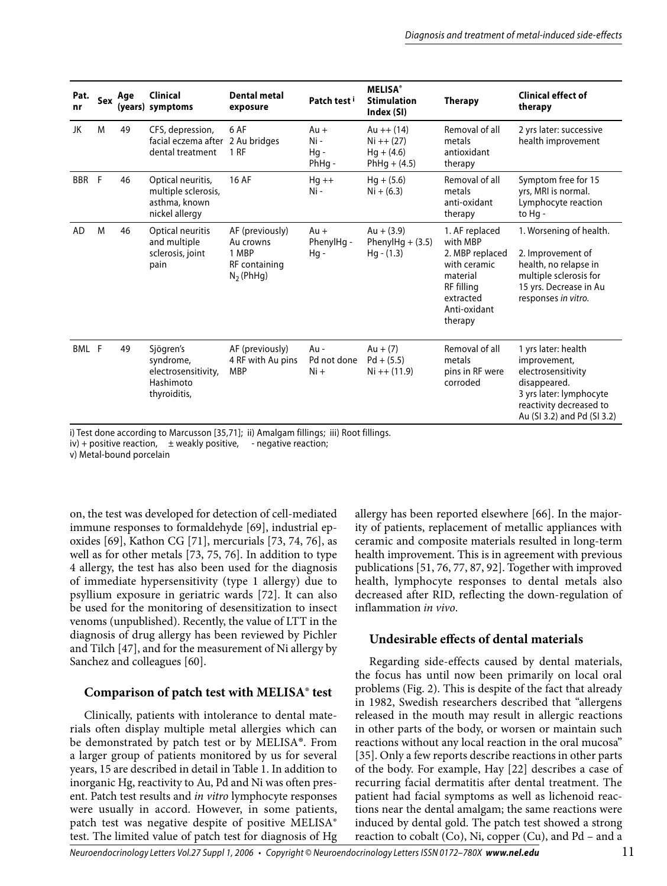| Pat.<br>nr | Sex | Age | <b>Clinical</b><br>(years) symptoms                                         | Dental metal<br>exposure                                              | Patch test i                     | <b>MELISA</b> <sup>®</sup><br><b>Stimulation</b><br>Index (SI) | <b>Therapy</b>                                                                                                                  | <b>Clinical effect of</b><br>therapy                                                                                                                           |
|------------|-----|-----|-----------------------------------------------------------------------------|-----------------------------------------------------------------------|----------------------------------|----------------------------------------------------------------|---------------------------------------------------------------------------------------------------------------------------------|----------------------------------------------------------------------------------------------------------------------------------------------------------------|
| JK         | M   | 49  | CFS, depression,<br>facial eczema after 2 Au bridges<br>dental treatment    | 6 AF<br>1 <sub>RF</sub>                                               | $Au +$<br>Ni -<br>Hq -<br>PhHq - | Au $++(14)$<br>$Ni + + (27)$<br>$Hq + (4.6)$<br>$PhHq + (4.5)$ | Removal of all<br>metals<br>antioxidant<br>therapy                                                                              | 2 yrs later: successive<br>health improvement                                                                                                                  |
| BBR F      |     | 46  | Optical neuritis,<br>multiple sclerosis,<br>asthma, known<br>nickel allergy | <b>16 AF</b>                                                          | $Hq++$<br>Ni -                   | $Hq + (5.6)$<br>$Ni + (6.3)$                                   | Removal of all<br>metals<br>anti-oxidant<br>therapy                                                                             | Symptom free for 15<br>yrs, MRI is normal.<br>Lymphocyte reaction<br>to Hq -                                                                                   |
| <b>AD</b>  | M   | 46  | Optical neuritis<br>and multiple<br>sclerosis, joint<br>pain                | AF (previously)<br>Au crowns<br>1 MBP<br>RF containing<br>$N2$ (PhHg) | Au +<br>PhenylHq -<br>$Hq -$     | $Au + (3.9)$<br>PhenylHg $+$ (3.5)<br>$Hg - (1.3)$             | 1. AF replaced<br>with MBP<br>2. MBP replaced<br>with ceramic<br>material<br>RF filling<br>extracted<br>Anti-oxidant<br>therapy | 1. Worsening of health.<br>2. Improvement of<br>health, no relapse in<br>multiple sclerosis for<br>15 yrs. Decrease in Au<br>responses in vitro.               |
| BML F      |     | 49  | Sjögren's<br>syndrome,<br>electrosensitivity,<br>Hashimoto<br>thyroiditis,  | AF (previously)<br>4 RF with Au pins<br><b>MBP</b>                    | Au -<br>Pd not done<br>$Ni +$    | $Au + (7)$<br>$Pd + (5.5)$<br>$Ni ++(11.9)$                    | Removal of all<br>metals<br>pins in RF were<br>corroded                                                                         | 1 yrs later: health<br>improvement,<br>electrosensitivity<br>disappeared.<br>3 yrs later: lymphocyte<br>reactivity decreased to<br>Au (SI 3.2) and Pd (SI 3.2) |

i) Test done according to Marcusson [35,71]; ii) Amalgam fillings; iii) Root fillings.

 $iv$ ) + positive reaction,  $\pm$  weakly positive, - negative reaction;

v) Metal-bound porcelain

on, the test was developed for detection of cell-mediated immune responses to formaldehyde [69], industrial epoxides [69], Kathon CG [71], mercurials [73, 74, 76], as well as for other metals [73, 75, 76]. In addition to type 4 allergy, the test has also been used for the diagnosis of immediate hypersensitivity (type 1 allergy) due to psyllium exposure in geriatric wards [72]. It can also be used for the monitoring of desensitization to insect venoms (unpublished). Recently, the value of LTT in the diagnosis of drug allergy has been reviewed by Pichler and Tilch [47], and for the measurement of Ni allergy by Sanchez and colleagues [60].

# **Comparison of patch test with MELISA® test**

Clinically, patients with intolerance to dental materials often display multiple metal allergies which can be demonstrated by patch test or by MELISA®. From a larger group of patients monitored by us for several years, 15 are described in detail in Table 1. In addition to inorganic Hg, reactivity to Au, Pd and Ni was often present. Patch test results and *in vitro* lymphocyte responses were usually in accord. However, in some patients, patch test was negative despite of positive MELISA® test. The limited value of patch test for diagnosis of Hg

allergy has been reported elsewhere [66]. In the majority of patients, replacement of metallic appliances with ceramic and composite materials resulted in long-term health improvement. This is in agreement with previous publications [51, 76, 77, 87, 92]. Together with improved health, lymphocyte responses to dental metals also decreased after RID, reflecting the down-regulation of inflammation *in vivo*.

# **Undesirable effects of dental materials**

Regarding side-effects caused by dental materials, the focus has until now been primarily on local oral problems (Fig. 2). This is despite of the fact that already in 1982, Swedish researchers described that "allergens released in the mouth may result in allergic reactions in other parts of the body, or worsen or maintain such reactions without any local reaction in the oral mucosa" [35]. Only a few reports describe reactions in other parts of the body. For example, Hay [22] describes a case of recurring facial dermatitis after dental treatment. The patient had facial symptoms as well as lichenoid reactions near the dental amalgam; the same reactions were induced by dental gold. The patch test showed a strong reaction to cobalt (Co), Ni, copper (Cu), and Pd – and a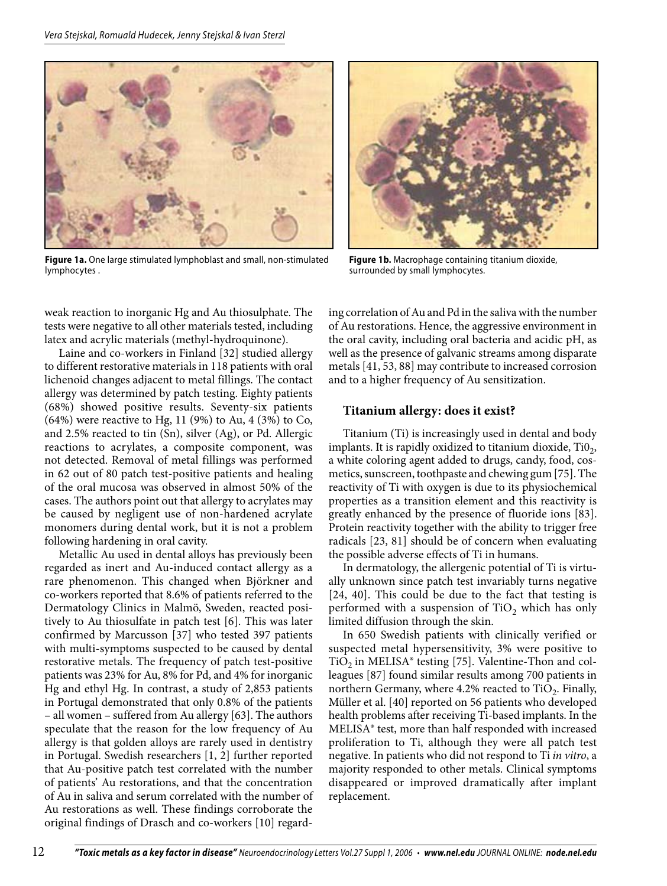

**Figure 1a.** One large stimulated lymphoblast and small, non-stimulated lymphocytes .



**Figure 1b.** Macrophage containing titanium dioxide, surrounded by small lymphocytes.

weak reaction to inorganic Hg and Au thiosulphate. The tests were negative to all other materials tested, including latex and acrylic materials (methyl-hydroquinone).

Laine and co-workers in Finland [32] studied allergy to different restorative materials in 118 patients with oral lichenoid changes adjacent to metal fillings. The contact allergy was determined by patch testing. Eighty patients (68%) showed positive results. Seventy-six patients (64%) were reactive to Hg, 11 (9%) to Au, 4 (3%) to Co, and 2.5% reacted to tin (Sn), silver (Ag), or Pd. Allergic reactions to acrylates, a composite component, was not detected. Removal of metal fillings was performed in 62 out of 80 patch test-positive patients and healing of the oral mucosa was observed in almost 50% of the cases. The authors point out that allergy to acrylates may be caused by negligent use of non-hardened acrylate monomers during dental work, but it is not a problem following hardening in oral cavity.

Metallic Au used in dental alloys has previously been regarded as inert and Au-induced contact allergy as a rare phenomenon. This changed when Björkner and co-workers reported that 8.6% of patients referred to the Dermatology Clinics in Malmö, Sweden, reacted positively to Au thiosulfate in patch test [6]. This was later confirmed by Marcusson [37] who tested 397 patients with multi-symptoms suspected to be caused by dental restorative metals. The frequency of patch test-positive patients was 23% for Au, 8% for Pd, and 4% for inorganic Hg and ethyl Hg. In contrast, a study of 2,853 patients in Portugal demonstrated that only 0.8% of the patients – all women – suffered from Au allergy [63]. The authors speculate that the reason for the low frequency of Au allergy is that golden alloys are rarely used in dentistry in Portugal. Swedish researchers [1, 2] further reported that Au-positive patch test correlated with the number of patients' Au restorations, and that the concentration of Au in saliva and serum correlated with the number of Au restorations as well. These findings corroborate the original findings of Drasch and co-workers [10] regarding correlation of Au and Pd in the saliva with the number of Au restorations. Hence, the aggressive environment in the oral cavity, including oral bacteria and acidic pH, as well as the presence of galvanic streams among disparate metals [41, 53, 88] may contribute to increased corrosion and to a higher frequency of Au sensitization.

# **Titanium allergy: does it exist?**

Titanium (Ti) is increasingly used in dental and body implants. It is rapidly oxidized to titanium dioxide,  $TiO<sub>2</sub>$ , a white coloring agent added to drugs, candy, food, cosmetics, sunscreen, toothpaste and chewing gum [75]. The reactivity of Ti with oxygen is due to its physiochemical properties as a transition element and this reactivity is greatly enhanced by the presence of fluoride ions [83]. Protein reactivity together with the ability to trigger free radicals [23, 81] should be of concern when evaluating the possible adverse effects of Ti in humans.

In dermatology, the allergenic potential of Ti is virtually unknown since patch test invariably turns negative [24, 40]. This could be due to the fact that testing is performed with a suspension of  $TiO<sub>2</sub>$  which has only limited diffusion through the skin.

In 650 Swedish patients with clinically verified or suspected metal hypersensitivity, 3% were positive to  $TiO<sub>2</sub>$  in MELISA $\degree$  testing [75]. Valentine-Thon and colleagues [87] found similar results among 700 patients in northern Germany, where  $4.2\%$  reacted to TiO<sub>2</sub>. Finally, Müller et al. [40] reported on 56 patients who developed health problems after receiving Ti-based implants. In the MELISA® test, more than half responded with increased proliferation to Ti, although they were all patch test negative. In patients who did not respond to Ti *in vitro*, a majority responded to other metals. Clinical symptoms disappeared or improved dramatically after implant replacement.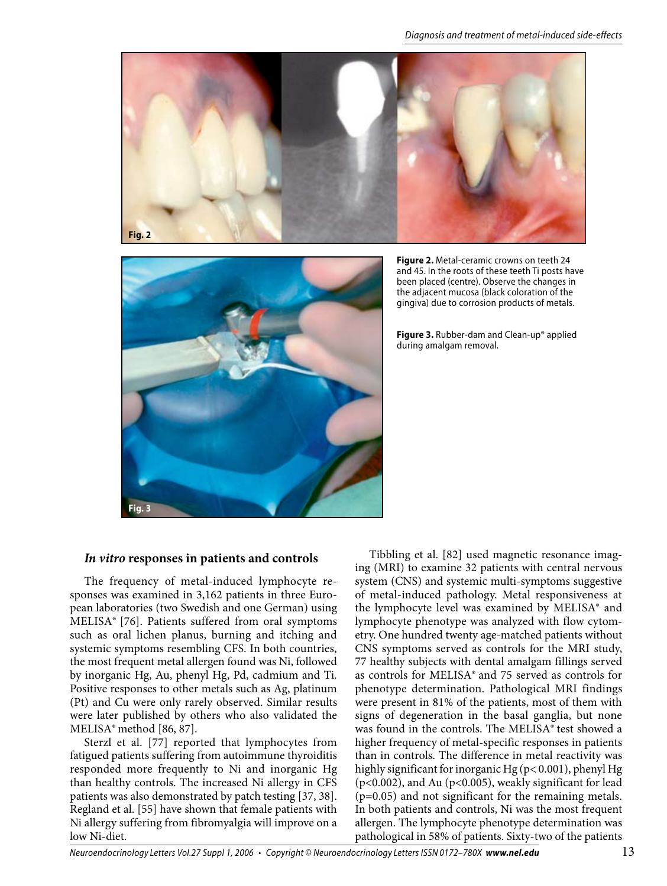



**Figure 2.** Metal-ceramic crowns on teeth 24 and 45. In the roots of these teeth Ti posts have been placed (centre). Observe the changes in the adjacent mucosa (black coloration of the gingiva) due to corrosion products of metals.

**Figure 3.** Rubber-dam and Clean-up® applied during amalgam removal.

#### *In vitro* **responses in patients and controls**

The frequency of metal-induced lymphocyte responses was examined in 3,162 patients in three European laboratories (two Swedish and one German) using MELISA® [76]. Patients suffered from oral symptoms such as oral lichen planus, burning and itching and systemic symptoms resembling CFS. In both countries, the most frequent metal allergen found was Ni, followed by inorganic Hg, Au, phenyl Hg, Pd, cadmium and Ti. Positive responses to other metals such as Ag, platinum (Pt) and Cu were only rarely observed. Similar results were later published by others who also validated the MELISA® method [86, 87].

Sterzl et al. [77] reported that lymphocytes from fatigued patients suffering from autoimmune thyroiditis responded more frequently to Ni and inorganic Hg than healthy controls. The increased Ni allergy in CFS patients was also demonstrated by patch testing [37, 38]. Regland et al. [55] have shown that female patients with Ni allergy suffering from fibromyalgia will improve on a low Ni-diet.

Tibbling et al. [82] used magnetic resonance imaging (MRI) to examine 32 patients with central nervous system (CNS) and systemic multi-symptoms suggestive of metal-induced pathology. Metal responsiveness at the lymphocyte level was examined by MELISA® and lymphocyte phenotype was analyzed with flow cytometry. One hundred twenty age-matched patients without CNS symptoms served as controls for the MRI study, 77 healthy subjects with dental amalgam fillings served as controls for MELISA® and 75 served as controls for phenotype determination. Pathological MRI findings were present in 81% of the patients, most of them with signs of degeneration in the basal ganglia, but none was found in the controls. The MELISA® test showed a higher frequency of metal-specific responses in patients than in controls. The difference in metal reactivity was highly significant for inorganic Hg (p< 0.001), phenyl Hg (p<0.002), and Au (p<0.005), weakly significant for lead (p=0.05) and not significant for the remaining metals. In both patients and controls, Ni was the most frequent allergen. The lymphocyte phenotype determination was pathological in 58% of patients. Sixty-two of the patients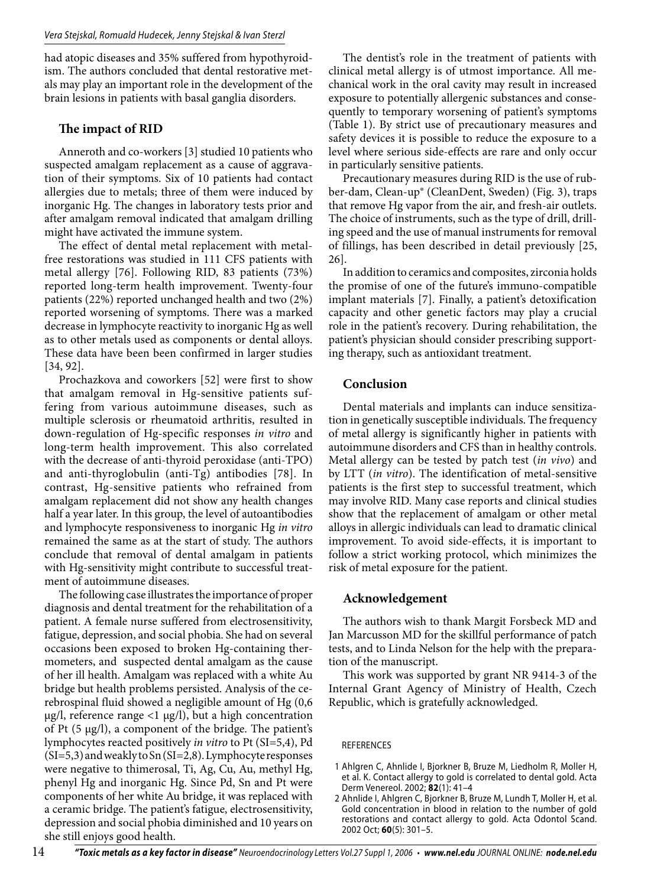had atopic diseases and 35% suffered from hypothyroidism. The authors concluded that dental restorative metals may play an important role in the development of the brain lesions in patients with basal ganglia disorders.

# **The impact of RID**

Anneroth and co-workers [3] studied 10 patients who suspected amalgam replacement as a cause of aggravation of their symptoms. Six of 10 patients had contact allergies due to metals; three of them were induced by inorganic Hg. The changes in laboratory tests prior and after amalgam removal indicated that amalgam drilling might have activated the immune system.

The effect of dental metal replacement with metalfree restorations was studied in 111 CFS patients with metal allergy [76]. Following RID, 83 patients (73%) reported long-term health improvement. Twenty-four patients (22%) reported unchanged health and two (2%) reported worsening of symptoms. There was a marked decrease in lymphocyte reactivity to inorganic Hg as well as to other metals used as components or dental alloys. These data have been been confirmed in larger studies [34, 92].

Prochazkova and coworkers [52] were first to show that amalgam removal in Hg-sensitive patients suffering from various autoimmune diseases, such as multiple sclerosis or rheumatoid arthritis, resulted in down-regulation of Hg-specific responses *in vitro* and long-term health improvement. This also correlated with the decrease of anti-thyroid peroxidase (anti-TPO) and anti-thyroglobulin (anti-Tg) antibodies [78]. In contrast, Hg-sensitive patients who refrained from amalgam replacement did not show any health changes half a year later. In this group, the level of autoantibodies and lymphocyte responsiveness to inorganic Hg *in vitro* remained the same as at the start of study. The authors conclude that removal of dental amalgam in patients with Hg-sensitivity might contribute to successful treatment of autoimmune diseases.

The following case illustrates the importance of proper diagnosis and dental treatment for the rehabilitation of a patient. A female nurse suffered from electrosensitivity, fatigue, depression, and social phobia. She had on several occasions been exposed to broken Hg-containing thermometers, and suspected dental amalgam as the cause of her ill health. Amalgam was replaced with a white Au bridge but health problems persisted. Analysis of the cerebrospinal fluid showed a negligible amount of Hg (0,6  $\mu$ g/l, reference range <1  $\mu$ g/l), but a high concentration of Pt  $(5 \mu g/l)$ , a component of the bridge. The patient's lymphocytes reacted positively *in vitro* to Pt (SI=5,4), Pd (SI=5,3) and weakly to Sn (SI=2,8). Lymphocyte responses were negative to thimerosal, Ti, Ag, Cu, Au, methyl Hg, phenyl Hg and inorganic Hg. Since Pd, Sn and Pt were components of her white Au bridge, it was replaced with a ceramic bridge. The patient's fatigue, electrosensitivity, depression and social phobia diminished and 10 years on she still enjoys good health.

The dentist's role in the treatment of patients with clinical metal allergy is of utmost importance. All mechanical work in the oral cavity may result in increased exposure to potentially allergenic substances and consequently to temporary worsening of patient's symptoms (Table 1). By strict use of precautionary measures and safety devices it is possible to reduce the exposure to a level where serious side-effects are rare and only occur in particularly sensitive patients.

Precautionary measures during RID is the use of rubber-dam, Clean-up® (CleanDent, Sweden) (Fig. 3), traps that remove Hg vapor from the air, and fresh-air outlets. The choice of instruments, such as the type of drill, drilling speed and the use of manual instruments for removal of fillings, has been described in detail previously [25, 26].

In addition to ceramics and composites, zirconia holds the promise of one of the future's immuno-compatible implant materials [7]. Finally, a patient's detoxification capacity and other genetic factors may play a crucial role in the patient's recovery. During rehabilitation, the patient's physician should consider prescribing supporting therapy, such as antioxidant treatment.

### **Conclusion**

Dental materials and implants can induce sensitization in genetically susceptible individuals. The frequency of metal allergy is significantly higher in patients with autoimmune disorders and CFS than in healthy controls. Metal allergy can be tested by patch test (*in vivo*) and by LTT (*in vitro*). The identification of metal-sensitive patients is the first step to successful treatment, which may involve RID. Many case reports and clinical studies show that the replacement of amalgam or other metal alloys in allergic individuals can lead to dramatic clinical improvement. To avoid side-effects, it is important to follow a strict working protocol, which minimizes the risk of metal exposure for the patient.

#### **Acknowledgement**

The authors wish to thank Margit Forsbeck MD and Jan Marcusson MD for the skillful performance of patch tests, and to Linda Nelson for the help with the preparation of the manuscript.

This work was supported by grant NR 9414-3 of the Internal Grant Agency of Ministry of Health, Czech Republic, which is gratefully acknowledged.

#### REFERENCES

- 1 Ahlgren C, Ahnlide I, Bjorkner B, Bruze M, Liedholm R, Moller H, et al. K. Contact allergy to gold is correlated to dental gold. Acta Derm Venereol. 2002; **82**(1): 41–4
- 2 Ahnlide I, Ahlgren C, Bjorkner B, Bruze M, Lundh T, Moller H, et al. Gold concentration in blood in relation to the number of gold restorations and contact allergy to gold. Acta Odontol Scand. 2002 Oct; **60**(5): 301–5.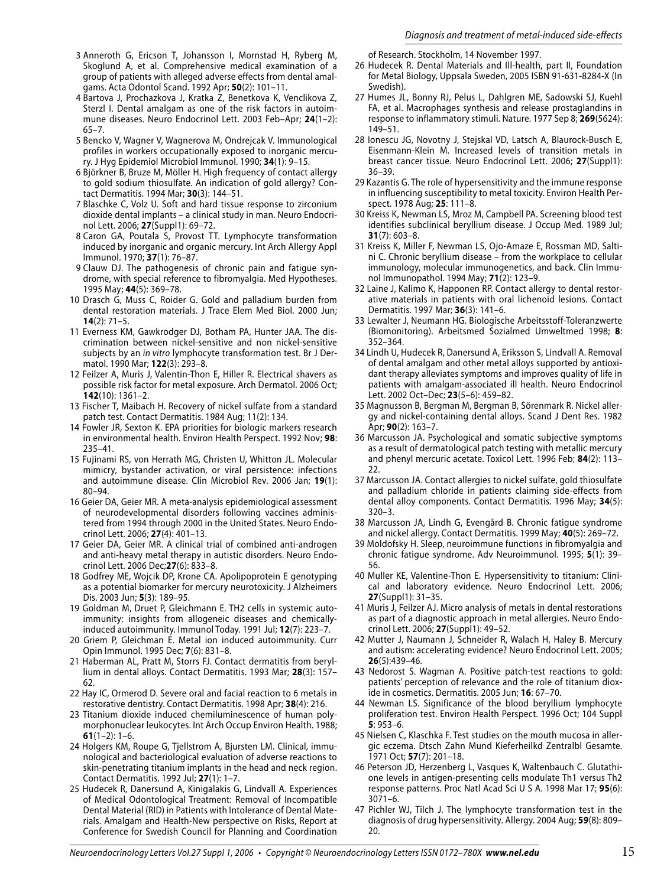- 3 Anneroth G, Ericson T, Johansson I, Mornstad H, Ryberg M, Skoglund A, et al. Comprehensive medical examination of a group of patients with alleged adverse effects from dental amalgams. Acta Odontol Scand. 1992 Apr; **50**(2): 101–11.
- 4 Bartova J, Prochazkova J, Kratka Z, Benetkova K, Venclikova Z, Sterzl I. Dental amalgam as one of the risk factors in autoimmune diseases. Neuro Endocrinol Lett. 2003 Feb–Apr; **24**(1–2): 65–7.
- 5 Bencko V, Wagner V, Wagnerova M, Ondrejcak V. Immunological profiles in workers occupationally exposed to inorganic mercury. J Hyg Epidemiol Microbiol Immunol. 1990; **34**(1): 9–15.
- 6 Björkner B, Bruze M, Möller H. High frequency of contact allergy to gold sodium thiosulfate. An indication of gold allergy? Contact Dermatitis. 1994 Mar; **30**(3): 144–51.
- 7 Blaschke C, Volz U. Soft and hard tissue response to zirconium dioxide dental implants – a clinical study in man. Neuro Endocrinol Lett. 2006; **27**(Suppl1): 69–72.
- 8 Caron GA, Poutala S, Provost TT. Lymphocyte transformation induced by inorganic and organic mercury. Int Arch Allergy Appl Immunol. 1970; **37**(1): 76–87.
- 9 Clauw DJ. The pathogenesis of chronic pain and fatigue syndrome, with special reference to fibromyalgia. Med Hypotheses. 1995 May; **44**(5): 369–78.
- 10 Drasch G, Muss C, Roider G. Gold and palladium burden from dental restoration materials. J Trace Elem Med Biol. 2000 Jun; **14**(2): 71–5.
- 11 Everness KM, Gawkrodger DJ, Botham PA, Hunter JAA. The discrimination between nickel-sensitive and non nickel-sensitive subjects by an *in vitro* lymphocyte transformation test. Br J Dermatol. 1990 Mar; **122**(3): 293–8.
- 12 Feilzer A, Muris J, Valentin-Thon E, Hiller R. Electrical shavers as possible risk factor for metal exposure. Arch Dermatol. 2006 Oct; **142**(10): 1361–2.
- 13 Fischer T, Maibach H. Recovery of nickel sulfate from a standard patch test. Contact Dermatitis. 1984 Aug; 11(2): 134.
- 14 Fowler JR, Sexton K. EPA priorities for biologic markers research in environmental health. Environ Health Perspect. 1992 Nov; **98**: 235–41.
- 15 Fujinami RS, von Herrath MG, Christen U, Whitton JL. Molecular mimicry, bystander activation, or viral persistence: infections and autoimmune disease. Clin Microbiol Rev. 2006 Jan; **19**(1): 80–94.
- 16 Geier DA, Geier MR. A meta-analysis epidemiological assessment of neurodevelopmental disorders following vaccines administered from 1994 through 2000 in the United States. Neuro Endocrinol Lett. 2006; **27**(4): 401–13.
- 17 Geier DA, Geier MR. A clinical trial of combined anti-androgen and anti-heavy metal therapy in autistic disorders. Neuro Endocrinol Lett. 2006 Dec;**27**(6): 833–8.
- 18 Godfrey ME, Wojcik DP, Krone CA. Apolipoprotein E genotyping as a potential biomarker for mercury neurotoxicity. J Alzheimers Dis. 2003 Jun; **5**(3): 189–95.
- 19 Goldman M, Druet P, Gleichmann E. TH2 cells in systemic autoimmunity: insights from allogeneic diseases and chemicallyinduced autoimmunity. Immunol Today. 1991 Jul; **12**(7): 223–7.
- 20 Griem P, Gleichman E. Metal ion induced autoimmunity. Curr Opin Immunol. 1995 Dec; **7**(6): 831–8.
- 21 Haberman AL, Pratt M, Storrs FJ. Contact dermatitis from beryllium in dental alloys. Contact Dermatitis. 1993 Mar; **28**(3): 157– 62.
- 22 Hay IC, Ormerod D. Severe oral and facial reaction to 6 metals in restorative dentistry. Contact Dermatitis. 1998 Apr; **38**(4): 216.
- 23 Titanium dioxide induced chemiluminescence of human polymorphonuclear leukocytes. Int Arch Occup Environ Health. 1988;  $61(1-2): 1-6.$
- 24 Holgers KM, Roupe G, Tjellstrom A, Bjursten LM. Clinical, immunological and bacteriological evaluation of adverse reactions to skin-penetrating titanium implants in the head and neck region. Contact Dermatitis. 1992 Jul; **27**(1): 1–7.
- 25 Hudecek R, Danersund A, Kinigalakis G, Lindvall A. Experiences of Medical Odontological Treatment: Removal of Incompatible Dental Material (RID) in Patients with Intolerance of Dental Materials. Amalgam and Health-New perspective on Risks, Report at Conference for Swedish Council for Planning and Coordination

of Research. Stockholm, 14 November 1997.

- 26 Hudecek R. Dental Materials and Ill-health, part II, Foundation for Metal Biology, Uppsala Sweden, 2005 ISBN 91-631-8284-X (In Swedish).
- 27 Humes JL, Bonny RJ, Pelus L, Dahlgren ME, Sadowski SJ, Kuehl FA, et al. Macrophages synthesis and release prostaglandins in response to inflammatory stimuli. Nature. 1977 Sep 8; **269**(5624): 149–51.
- 28 Ionescu JG, Novotny J, Stejskal VD, Latsch A, Blaurock-Busch E, Eisenmann-Klein M. Increased levels of transition metals in breast cancer tissue. Neuro Endocrinol Lett. 2006; **27**(Suppl1): 36–39.
- 29 Kazantis G. The role of hypersensitivity and the immune response in influencing susceptibility to metal toxicity. Environ Health Perspect. 1978 Aug; **25**: 111–8.
- 30 Kreiss K, Newman LS, Mroz M, Campbell PA. Screening blood test identifies subclinical beryllium disease. J Occup Med. 1989 Jul; **31**(7): 603–8.
- 31 Kreiss K, Miller F, Newman LS, Ojo-Amaze E, Rossman MD, Saltini C. Chronic beryllium disease – from the workplace to cellular immunology, molecular immunogenetics, and back. Clin Immunol Immunopathol. 1994 May; **71**(2): 123–9.
- 32 Laine J, Kalimo K, Happonen RP. Contact allergy to dental restorative materials in patients with oral lichenoid lesions. Contact Dermatitis. 1997 Mar; **36**(3): 141–6.
- 33 Lewalter J, Neumann HG. Biologische Arbeitsstoff-Toleranzwerte (Biomonitoring). Arbeitsmed Sozialmed Umweltmed 1998; **8**: 352–364.
- 34 Lindh U, Hudecek R, Danersund A, Eriksson S, Lindvall A. Removal of dental amalgam and other metal alloys supported by antioxidant therapy alleviates symptoms and improves quality of life in patients with amalgam-associated ill health. Neuro Endocrinol Lett. 2002 Oct–Dec; **23**(5–6): 459–82.
- 35 Magnusson B, Bergman M, Bergman B, Sörenmark R. Nickel allergy and nickel-containing dental alloys. Scand J Dent Res. 1982 Apr; **90**(2): 163–7.
- 36 Marcusson JA. Psychological and somatic subjective symptoms as a result of dermatological patch testing with metallic mercury and phenyl mercuric acetate. Toxicol Lett. 1996 Feb; **84**(2): 113– 22.
- 37 Marcusson JA. Contact allergies to nickel sulfate, gold thiosulfate and palladium chloride in patients claiming side-effects from dental alloy components. Contact Dermatitis. 1996 May; **34**(5): 320–3.
- 38 Marcusson JA, Lindh G, Evengård B. Chronic fatigue syndrome and nickel allergy. Contact Dermatitis. 1999 May; **40**(5): 269–72.
- 39 Moldofsky H. Sleep, neuroimmune functions in fibromyalgia and chronic fatigue syndrome. Adv Neuroimmunol. 1995; **5**(1): 39– 56.
- 40 Muller KE, Valentine-Thon E. Hypersensitivity to titanium: Clinical and laboratory evidence. Neuro Endocrinol Lett. 2006; **27**(Suppl1): 31–35.
- 41 Muris J, Feilzer AJ. Micro analysis of metals in dental restorations as part of a diagnostic approach in metal allergies. Neuro Endocrinol Lett. 2006; **27**(Suppl1): 49–52.
- 42 Mutter J, Naumann J, Schneider R, Walach H, Haley B. Mercury and autism: accelerating evidence? Neuro Endocrinol Lett. 2005; **26**(5):439–46.
- 43 Nedorost S. Wagman A. Positive patch-test reactions to gold: patients' perception of relevance and the role of titanium dioxide in cosmetics. Dermatitis. 2005 Jun; **16**: 67–70.
- 44 Newman LS. Significance of the blood beryllium lymphocyte proliferation test. Environ Health Perspect. 1996 Oct; 104 Suppl **5**: 953–6.
- 45 Nielsen C, Klaschka F. Test studies on the mouth mucosa in allergic eczema. Dtsch Zahn Mund Kieferheilkd Zentralbl Gesamte. 1971 Oct; **57**(7): 201–18.
- 46 Peterson JD, Herzenberg L, Vasques K, Waltenbauch C. Glutathione levels in antigen-presenting cells modulate Th1 versus Th2 response patterns. Proc Natl Acad Sci U S A. 1998 Mar 17; **95**(6): 3071–6.
- 47 Pichler WJ, Tilch J. The lymphocyte transformation test in the diagnosis of drug hypersensitivity. Allergy. 2004 Aug; **59**(8): 809– 20.